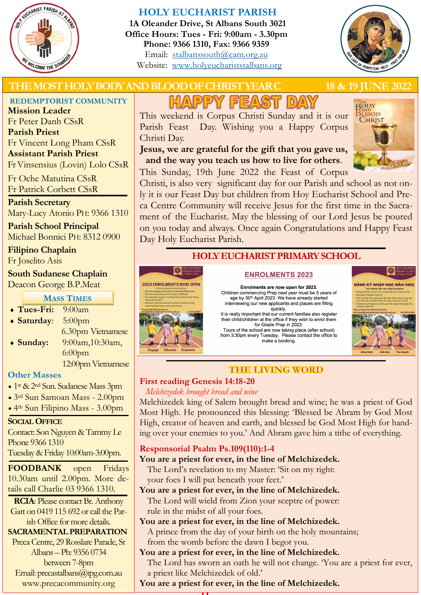

# **HOLY EUCHARIST PARISH**

**1A Oleander Drive, St Albans South 3021 Office Hours: Tues - Fri: 9:00am - 3.30pm Phone: 9366 1310, Fax: 9366 9359** Email: [stalbanssouth@cam.org.au](mailto:stalbanssouth@cam.org.au) Website:[www.holyeuchariststalbans.org](http://www.holyeuchariststalbans.org)



 $B^{m}_{QDY}$  $\overline{\rm 3LOOP}$ CHRIST

# **THE MOST HOLY BODY AND BLOOD OF CHRIST YEAR C 18 & 19 JUNE 2022**

# **REDEMPTORIST COMMUNITY**

**Mission Leader** Fr Peter Danh CSsR **Parish Priest** Fr Vincent Long Pham CSsR **Assistant Parish Priest**  Fr Vinsensius (Lovin) Lolo CSsR

Fr Oche Matutina CSsR Fr Patrick Corbett CSsR

**Parish Secretary** Mary-Lucy Atonio PH: 9366 1310

**Parish School Principal** Michael Bonnici PH: 8312 0900

**Filipino Chaplain** Fr Joselito Asis

**South Sudanese Chaplain** Deacon George B.P.Meat

**MASS TIMES**

| ◆ Tues-Fri: 9:00am |  |
|--------------------|--|
| • Saturday: 5:00pm |  |
|                    |  |

 6.30pm Vietnamese **Sunday:** 9:00am,10:30am, 6:00pm 12:00pm Vietnamese

# **Other Masses**

- 1<sup>st</sup> & 2<sup>nd</sup> Sun. Sudanese Mass 3pm
- 3rd Sun Samoan Mass 2.00pm
- 4th Sun Filipino Mass 3.00pm

# **SOCIAL OFFICE**

Contact: Son Nguyen & Tammy Le Phone 9366 1310

Tuesday & Friday 10:00am-3:00pm.

**FOODBANK** open Fridays 10.30am until 2.00pm. More details call Charlie 03 9366 1310.

**RCIA**: Please contact Br. Anthony Gatt on 0419 115 692 or call the Parish Office for more details.

# **SACRAMENTAL PREPARATION**

Preca Centre, 29 Rosslare Parade, St Albans – Ph: 9356 0734 between 7-8pm Email: precastalbans@tpg.com.au www.precacommunity.org

# HAPPY FEAST DAY

This weekend is Corpus Christi Sunday and it is our Parish Feast Day. Wishing you a Happy Corpus Christi Day.

**Jesus, we are grateful for the gift that you gave us, and the way you teach us how to live for others**.



Christi, is also very significant day for our Parish and school as not only it is our Feast Day but children from Hoy Eucharist School and Preca Centre Community will receive Jesus for the first time in the Sacrament of the Eucharist. May the blessing of our Lord Jesus be poured on you today and always. Once again Congratulations and Happy Feast Day Holy Eucharist Parish.

# **HOLY EUCHARIST PRIMARY SCHOOL**

#### **ENROLMENTS 2023**



Enrolments are now open for 2023. Children commencing Prep next year must be 5 years of<br>age by 30<sup>th</sup> April 2023. We have already started<br>interviewing our new applicants and places are filling equickly.<br>It is really important that our current families also register

their child/children at the office if they wish to enrol them for Grade Prep in 2023.

Tours of the school are now taking place (after school)<br>from 3:30pm every Tuesday. Please contact the office to make a booking.



# **THE LIVING WORD**

# **First reading Genesis 14:18-20**

#### *Melchizedek brought bread and wine*

Melchizedek king of Salem brought bread and wine; he was a priest of God Most High. He pronounced this blessing: 'Blessed be Abram by God Most High, creator of heaven and earth, and blessed be God Most High for handing over your enemies to you.' And Abram gave him a tithe of everything.

# **Responsorial Psalm Ps.109(110):1-4**

# **You are a priest for ever, in the line of Melchizedek.**

The Lord's revelation to my Master: 'Sit on my right: your foes I will put beneath your feet.'

- **You are a priest for ever, in the line of Melchizedek.** The Lord will wield from Zion your sceptre of power:
	- rule in the midst of all your foes.

# **You are a priest for ever, in the line of Melchizedek.**

A prince from the day of your birth on the holy mountains; from the womb before the dawn I begot you.

# **You are a priest for ever, in the line of Melchizedek.**

The Lord has sworn an oath he will not change. 'You are a priest for ever, a priest like Melchizedek of old.'

**You are a priest for ever, in the line of Melchizedek.**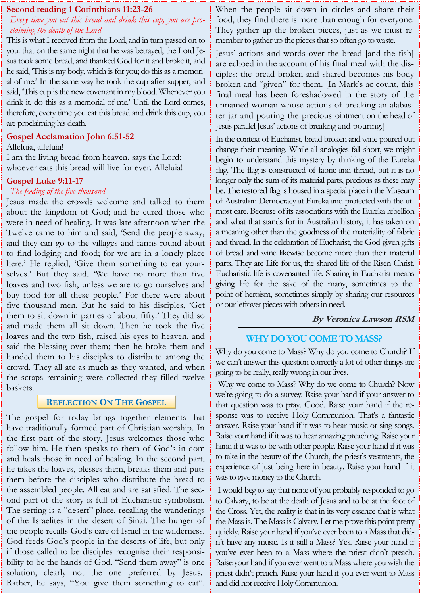#### **Second reading 1 Corinthians 11:23-26**

## *Every time you eat this bread and drink this cup, you are proclaiming the death of the Lord*

This is what I received from the Lord, and in turn passed on to you: that on the same night that he was betrayed, the Lord Jesus took some bread, and thanked God for it and broke it, and he said, 'This is my body, which is for you; do this as a memorial of me.' In the same way he took the cup after supper, and said, 'This cup is the new covenant in my blood. Whenever you drink it, do this as a memorial of me.' Until the Lord comes, therefore, every time you eat this bread and drink this cup, you are proclaiming his death.

#### **Gospel Acclamation John 6:51-52**

#### Alleluia, alleluia!

I am the living bread from heaven, says the Lord; whoever eats this bread will live for ever. Alleluia!

#### **Gospel Luke 9:11-17**

#### *The feeding of the five thousand*

Jesus made the crowds welcome and talked to them about the kingdom of God; and he cured those who were in need of healing. It was late afternoon when the Twelve came to him and said, 'Send the people away, and they can go to the villages and farms round about to find lodging and food; for we are in a lonely place here.' He replied, 'Give them something to eat yourselves.' But they said, 'We have no more than five loaves and two fish, unless we are to go ourselves and buy food for all these people.' For there were about five thousand men. But he said to his disciples, 'Get them to sit down in parties of about fifty.' They did so and made them all sit down. Then he took the five loaves and the two fish, raised his eyes to heaven, and said the blessing over them; then he broke them and handed them to his disciples to distribute among the crowd. They all ate as much as they wanted, and when the scraps remaining were collected they filled twelve baskets.

#### **REFLECTION ON THE GOSPEL**

The gospel for today brings together elements that have traditionally formed part of Christian worship. In the first part of the story, Jesus welcomes those who follow him. He then speaks to them of God's in-dom and heals those in need of healing. In the second part, he takes the loaves, blesses them, breaks them and puts them before the disciples who distribute the bread to the assembled people. All eat and are satisfied. The second part of the story is full of Eucharistic symbolism. The setting is a "desert" place, recalling the wanderings of the Israelites in the desert of Sinai. The hunger of the people recalls God's care of Israel in the wilderness. God feeds God's people in the deserts of life, but only if those called to be disciples recognise their responsibility to be the hands of God. "Send them away" is one solution, clearly not the one preferred by Jesus. Rather, he says, "You give them something to eat".

When the people sit down in circles and share their food, they find there is more than enough for everyone. They gather up the broken pieces, just as we must remember to gather up the pieces that so often go to waste.

Jesus' actions and words over the bread [and the fish] are echoed in the account of his final meal with the disciples: the bread broken and shared becomes his body broken and "given" for them. [In Mark's ac count, this final meal has been foreshadowed in the story of the unnamed woman whose actions of breaking an alabaster jar and pouring the precious ointment on the head of Jesus parallel Jesus' actions of breaking and pouring.]

In the context of Eucharist, bread broken and wine poured out change their meaning. While all analogies fall short, we might begin to understand this mystery by thinking of the Eureka flag. The flag is constructed of fabric and thread, but it is no longer only the sum of its material parts, precious as these may be. The restored flag is housed in a special place in the Museum of Australian Democracy at Eureka and protected with the utmost care. Because of its associations with the Eureka rebellion and what that stands for in Australian history, it has taken on a meaning other than the goodness of the materiality of fabric and thread. In the celebration of Eucharist, the God-given gifts of bread and wine likewise become more than their material parts. They are Life for us, the shared life of the Risen Christ. Eucharistic life is covenanted life. Sharing in Eucharist means giving life for the sake of the many, sometimes to the point of heroism, sometimes simply by sharing our resources or our leftover pieces with others in need.

#### **By Veronica Lawson RSM**

#### **WHY DO YOU COME TO MASS?**

Why do you come to Mass? Why do you come to Church? If we can't answer this question correctly a lot of other things are going to be really, really wrong in our lives.

Why we come to Mass? Why do we come to Church? Now we're going to do a survey. Raise your hand if your answer to that question was to pray. Good. Raise your hand if the response was to receive Holy Communion. That's a fantastic answer. Raise your hand if it was to hear music or sing songs. Raise your hand if it was to hear amazing preaching. Raise your hand if it was to be with other people. Raise your hand if it was to take in the beauty of the Church, the priest's vestments, the experience of just being here in beauty. Raise your hand if it was to give money to the Church.

I would beg to say that none of you probably responded to go to Calvary, to be at the death of Jesus and to be at the foot of the Cross. Yet, the reality is that in its very essence that is what the Mass is. The Mass is Calvary. Let me prove this point pretty quickly. Raise your hand if you've ever been to a Mass that didn't have any music. Is it still a Mass? Yes. Raise your hand if you've ever been to a Mass where the priest didn't preach. Raise your hand if you ever went to a Mass where you wish the priest didn't preach. Raise your hand if you ever went to Mass and did not receive Holy Communion.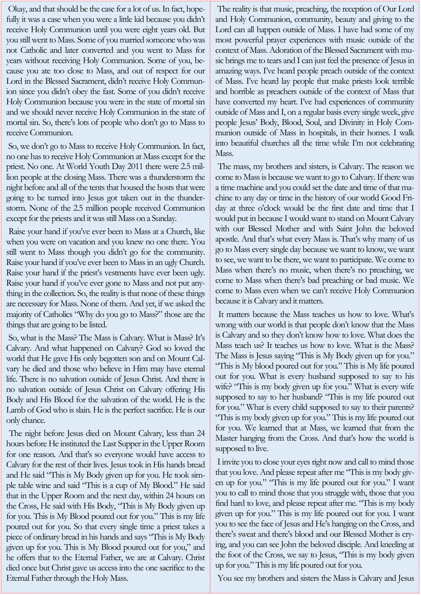Okay, and that should be the case for a lot of us. In fact, hopefully it was a case when you were a little kid because you didn't receive Holy Communion until you were eight years old. But you still went to Mass. Some of you married someone who was not Catholic and later converted and you went to Mass for years without receiving Holy Communion. Some of you, because you ate too close to Mass, and out of respect for our Lord in the Blessed Sacrament, didn't receive Holy Communion since you didn't obey the fast. Some of you didn't receive Holy Communion because you were in the state of mortal sin and we should never receive Holy Communion in the state of mortal sin. So, there's lots of people who don't go to Mass to receive Communion.

So, we don't go to Mass to receive Holy Communion. In fact, no one has to receive Holy Communion at Mass except for the priest. No one. At World Youth Day 2011 there were 2.5 million people at the closing Mass. There was a thunderstorm the night before and all of the tents that housed the hosts that were going to be turned into Jesus got taken out in the thunderstorm. None of the 2.5 million people received Communion except for the priests and it was still Mass on a Sunday.

Raise your hand if you've ever been to Mass at a Church, like when you were on vacation and you knew no one there. You still went to Mass though you didn't go for the community. Raise your hand if you've ever been to Mass in an ugly Church. Raise your hand if the priest's vestments have ever been ugly. Raise your hand if you've ever gone to Mass and not put anything in the collection. So, the reality is that none of these things are necessary for Mass. None of them. And yet, if we asked the majority of Catholics "Why do you go to Mass?" those are the things that are going to be listed.

So, what is the Mass? The Mass is Calvary. What is Mass? It's Calvary. And what happened on Calvary? God so loved the world that He gave His only begotten son and on Mount Calvary he died and those who believe in Him may have eternal life. There is no salvation outside of Jesus Christ. And there is no salvation outside of Jesus Christ on Calvary offering His Body and His Blood for the salvation of the world. He is the Lamb of God who is slain. He is the perfect sacrifice. He is our only chance.

The night before Jesus died on Mount Calvary, less than 24 hours before He instituted the Last Supper in the Upper Room for one reason. And that's so everyone would have access to Calvary for the rest of their lives. Jesus took in His hands bread and He said "This is My Body given up for you. He took simple table wine and said "This is a cup of My Blood." He said that in the Upper Room and the next day, within 24 hours on the Cross, He said with His Body, "This is My Body given up for you. This is My Blood poured out for you." This is my life poured out for you. So that every single time a priest takes a piece of ordinary bread in his hands and says "This is My Body given up for you. This is My Blood poured out for you," and he offers that to the Eternal Father, we are at Calvary. Christ died once but Christ gave us access into the one sacrifice to the Eternal Father through the Holy Mass.

The reality is that music, preaching, the reception of Our Lord and Holy Communion, community, beauty and giving to the Lord can all happen outside of Mass. I have had some of my most powerful prayer experiences with music outside of the context of Mass. Adoration of the Blessed Sacrament with music brings me to tears and I can just feel the presence of Jesus in amazing ways. I've heard people preach outside of the context of Mass. I've heard lay people that make priests look terrible and horrible as preachers outside of the context of Mass that have converted my heart. I've had experiences of community outside of Mass and I, on a regular basis every single week, give people Jesus' Body, Blood, Soul, and Divinity in Holy Communion outside of Mass in hospitals, in their homes. I walk into beautiful churches all the time while I'm not celebrating Mass.

The mass, my brothers and sisters, is Calvary. The reason we come to Mass is because we want to go to Calvary. If there was a time machine and you could set the date and time of that machine to any day or time in the history of our world Good Friday at three o'clock would be the first date and time that I would put in because I would want to stand on Mount Calvary with our Blessed Mother and with Saint John the beloved apostle. And that's what every Mass is. That's why many of us go to Mass every single day because we want to know, we want to see, we want to be there, we want to participate. We come to Mass when there's no music, when there's no preaching, we come to Mass when there's bad preaching or bad music. We come to Mass even when we can't receive Holy Communion because it is Calvary and it matters.

It matters because the Mass teaches us how to love. What's wrong with our world is that people don't know that the Mass is Calvary and so they don't know how to love. What does the Mass teach us? It teaches us how to love. What is the Mass? The Mass is Jesus saying "This is My Body given up for you." "This is My blood poured out for you." This is My life poured out for you. What is every husband supposed to say to his wife? "This is my body given up for you." What is every wife supposed to say to her husband? "This is my life poured out for you." What is every child supposed to say to their parents? "This is my body given up for you." This is my life poured out for you. We learned that at Mass, we learned that from the Master hanging from the Cross. And that's how the world is supposed to live.

I invite you to close your eyes right now and call to mind those that you love. And please repeat after me "This is my body given up for you." "This is my life poured out for you." I want you to call to mind those that you struggle with, those that you find hard to love, and please repeat after me. "This is my body given up for you." This is my life poured out for you. I want you to see the face of Jesus and He's hanging on the Cross, and there's sweat and there's blood and our Blessed Mother is crying, and you can see John the beloved disciple. And kneeling at the foot of the Cross, we say to Jesus, "This is my body given up for you." This is my life poured out for you.

You see my brothers and sisters the Mass is Calvary and Jesus